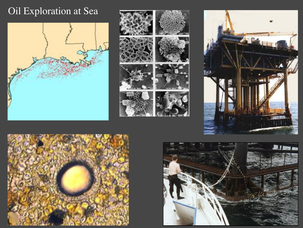### Oil Exploration at Sea









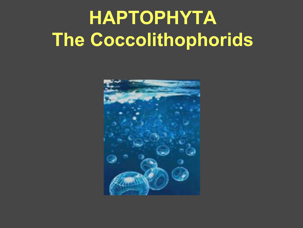# **HAPTOPHYTA The Coccolithophorids**

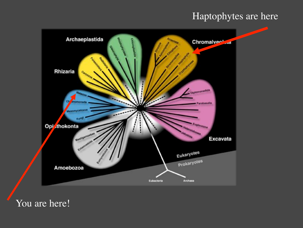#### Haptophytes are here



You are here!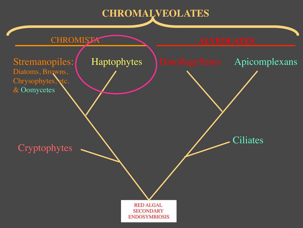#### **CHROMALVEOLATES**

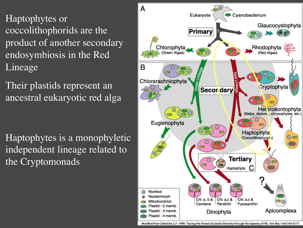Haptophytes or coccolithophorids are the product of another secondary endosymbiosis in the Red Lineage

Their plastids represent an ancestral eukaryotic red alga

Haptophytes is a monophyletic independent lineage related to the Cryptomonads



Modified from Delwiche, C.F. 1999. Tracing the thread of plastid diversity through the tapestry of life. Am. Nat. 154:S164-S177.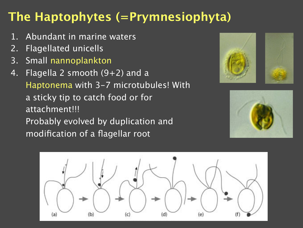## **The Haptophytes (=Prymnesiophyta)**

- 1. Abundant in marine waters
- 2. Flagellated unicells
- 3. Small nannoplankton
- 4. Flagella 2 smooth  $(9+2)$  and a Haptonema with 3-7 microtubules! With a sticky tip to catch food or for attachment!!! Probably evolved by duplication and modification of a flagellar root





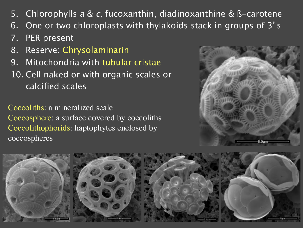- 5. Chlorophylls  $a \& c$ , fucoxanthin, diadinoxanthine & B-carotene
- 6. One or two chloroplasts with thylakoids stack in groups of 3 s
- 7. PER present
- 8. Reserve: Chrysolaminarin
- 9. Mitochondria with tubular cristae
- 10. Cell naked or with organic scales or calcified scales

Coccoliths: a mineralized scale Coccosphere: a surface covered by coccoliths Coccolithophorids: haptophytes enclosed by coccospheres



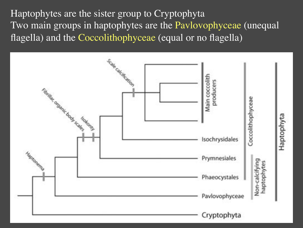Haptophytes are the sister group to Cryptophyta Two main groups in haptophytes are the Pavlovophyceae (unequal flagella) and the Coccolithophyceae (equal or no flagella)

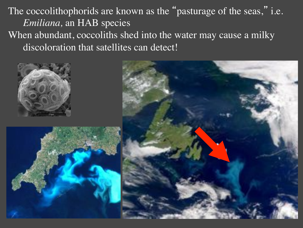The coccolithophorids are known as the "pasturage of the seas," i.e. *Emiliana,* an HAB species When abundant, coccoliths shed into the water may cause a milky discoloration that satellites can detect!





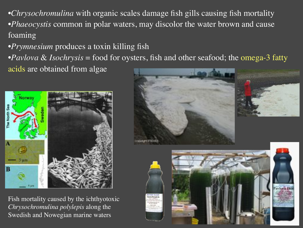•*Chrysochromulina* with organic scales damage fish gills causing fish mortality •*Phaeocystis* common in polar waters, may discolor the water brown and cause foaming

•*Prymnesium* produces a toxin killing fish

•*Pavlova* & *Isochrysis* = food for oysters, fish and other seafood; the omega-3 fatty

acids are obtained from algae



Fish mortality caused by the ichthyotoxic *Chrysochromulina polylepis* along the Swedish and Nowegian marine waters







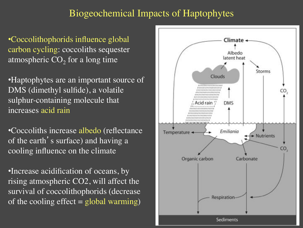#### Biogeochemical Impacts of Haptophytes

•Coccolithophorids influence global carbon cycling: coccoliths sequester atmospheric  $CO<sub>2</sub>$  for a long time

•Haptophytes are an important source of DMS (dimethyl sulfide), a volatile sulphur-containing molecule that increases acid rain

•Coccoliths increase albedo (reflectance of the earth's surface) and having a cooling influence on the climate

•Increase acidification of oceans, by rising atmospheric CO2, will affect the survival of coccolithophorids (decrease of the cooling effect  $=$  global warming)